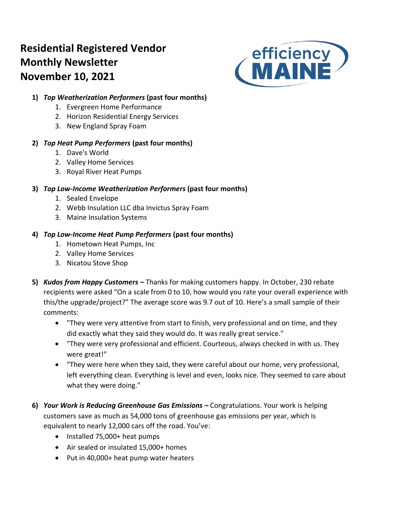# **Residential Registered Vendor Monthly Newsletter November 10, 2021**



## **1)** *Top Weatherization Performers* **(past four months)**

- 1. Evergreen Home Performance
- 2. Horizon Residential Energy Services
- 3. New England Spray Foam

## **2)** *Top Heat Pump Performers* **(past four months)**

- 1. Dave's World
- 2. Valley Home Services
- 3. Royal River Heat Pumps

## **3)** *Top Low-Income Weatherization Performers* **(past four months)**

- 1. Sealed Envelope
- 2. Webb Insulation LLC dba Invictus Spray Foam
- 3. Maine Insulation Systems

## **4)** *Top Low-Income Heat Pump Performers* **(past four months)**

- 1. Hometown Heat Pumps, Inc
- 2. Valley Home Services
- 3. Nicatou Stove Shop
- **5)** *Kudos from Happy Customers –* Thanks for making customers happy. In October, 230 rebate recipients were asked "On a scale from 0 to 10, how would you rate your overall experience with this/the upgrade/project?" The average score was 9.7 out of 10. Here's a small sample of their comments:
	- "They were very attentive from start to finish, very professional and on time, and they did exactly what they said they would do. It was really great service."
	- "They were very professional and efficient. Courteous, always checked in with us. They were great!"
	- "They were here when they said, they were careful about our home, very professional, left everything clean. Everything is level and even, looks nice. They seemed to care about what they were doing."
- **6)** *Your Work is Reducing Greenhouse Gas Emissions –* Congratulations. Your work is helping customers save as much as 54,000 tons of greenhouse gas emissions per year, which is equivalent to nearly 12,000 cars off the road. You've:
	- Installed 75,000+ heat pumps
	- Air sealed or insulated 15,000+ homes
	- Put in 40,000+ heat pump water heaters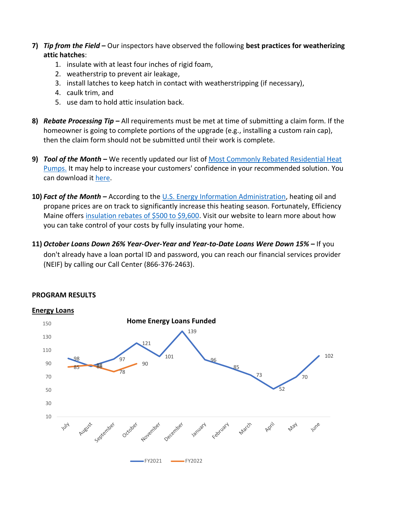- **7)** *Tip from the Field* **–** Our inspectors have observed the following **best practices for weatherizing attic hatches**:
	- 1. insulate with at least four inches of rigid foam,
	- 2. weatherstrip to prevent air leakage,
	- 3. install latches to keep hatch in contact with weatherstripping (if necessary),
	- 4. caulk trim, and
	- 5. use dam to hold attic insulation back.
- **8)** *Rebate Processing Tip –* All requirements must be met at time of submitting a claim form. If the homeowner is going to complete portions of the upgrade (e.g., installing a custom rain cap), then the claim form should not be submitted until their work is complete.
- 9) *Tool of the Month -* We recently updated our list of Most Commonly Rebated Residential Heat [Pumps.](https://www.efficiencymaine.com/docs/Most-rebated-heat-pumps.pdf) It may help to increase your customers' confidence in your recommended solution. You can download it [here.](https://www.efficiencymaine.com/docs/Most-rebated-heat-pumps.pdf)
- **10)** *Fact of the Month –* According to the [U.S. Energy Information Administration,](https://www.eia.gov/outlooks/steo/report/WinterFuels.php) heating oil and propane prices are on track to significantly increase this heating season. Fortunately, Efficiency Maine offers [insulation rebates of \\$500 to \\$9,600.](https://www.efficiencymaine.com/home-insulation/) Visit our website to learn more about how you can take control of your costs by fully insulating your home.
- **11)** *October Loans Down 26% Year-Over-Year and Year-to-Date Loans Were Down 15% –* If you don't already have a loan portal ID and password, you can reach our financial services provider (NEIF) by calling our Call Center (866-376-2463).



### **PROGRAM RESULTS**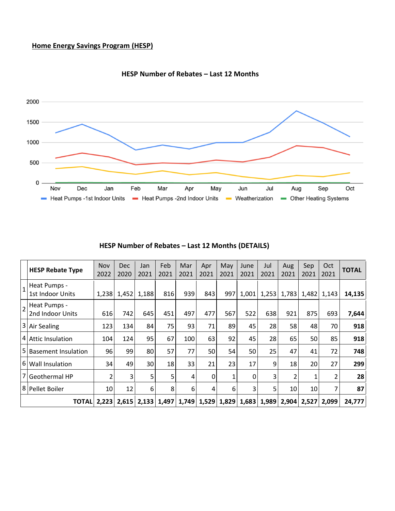## **Home Energy Savings Program (HESP)**



#### **HESP Number of Rebates – Last 12 Months**

|  | HESP Number of Rebates - Last 12 Months (DETAILS) |  |  |  |  |  |  |  |  |
|--|---------------------------------------------------|--|--|--|--|--|--|--|--|
|--|---------------------------------------------------|--|--|--|--|--|--|--|--|

|                | <b>HESP Rebate Type</b>          | <b>Nov</b><br>2022 | <b>Dec</b><br>2020 | Jan<br>2021     | Feb<br>2021 | Mar<br>2021 | Apr<br>2021 | May<br>2021 | June<br>2021 | Jul<br>2021 | Aug<br>2021 | Sep<br>2021 | Oct<br>2021 | <b>TOTAL</b> |
|----------------|----------------------------------|--------------------|--------------------|-----------------|-------------|-------------|-------------|-------------|--------------|-------------|-------------|-------------|-------------|--------------|
| $\mathbf{1}$   | Heat Pumps -<br>1st Indoor Units | 1,238              | 1,452              | 1,188           | 816         | 939         | 843         | 997         | 1,001        | 1,253       | 1,783       | 1,482       | 1,143       | 14,135       |
| $\overline{2}$ | Heat Pumps -<br>2nd Indoor Units | 616                | 742                | 645             | 451         | 497         | 477         | 567         | 522          | 638         | 921         | 875         | 693         | 7,644        |
|                | 3 Air Sealing                    | 123                | 134                | 84              | 75          | 93          | 71          | 89          | 45           | 28          | 58          | 48          | 70          | 918          |
|                | 4 Attic Insulation               | 104                | 124                | 95              | 67          | 100         | 63          | 92          | 45           | 28          | 65          | 50          | 85          | 918          |
| l5             | <b>Basement Insulation</b>       | 96                 | 99                 | 80              | 57          | 77          | 50          | 54          | 50           | 25          | 47          | 41          | 72          | 748          |
|                | 6 Wall Insulation                | 34                 | 49                 | 30              | 18          | 33          | 21          | 23          | 17           | 9           | 18          | 20          | 27          | 299          |
|                | 7 Geothermal HP                  |                    | 3                  | 5               | 5           | 4           | 0           | 1           | 0            | 3           | 2           | 1           | 2           | 28           |
|                | 8 Pellet Boiler                  | 10                 | 12                 | 6               | 8           | 6           | 4           | 6           | 3            | 5           | 10          | 10          | 7           | 87           |
|                | TOTALI                           | 2,223              |                    | $2,615$   2,133 | 1,497       | 1,749       | 1,529       | 1,829       | 1,683        | 1,989       | 2,904       | 2,527       | 2,099       | 24,777       |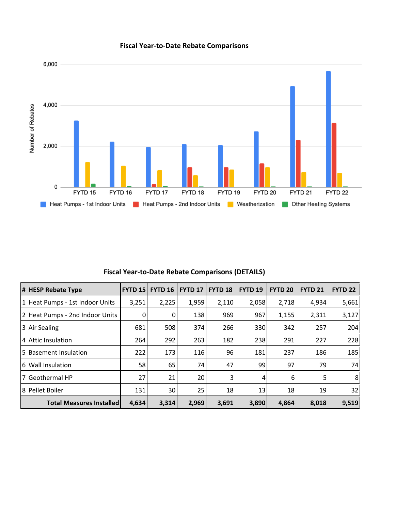

## **Fiscal Year-to-Date Rebate Comparisons**

| <b># HESP Rebate Type</b>       | <b>FYTD 151</b> | <b>FYTD 16</b> | <b>FYTD 17</b> | <b>FYTD 18</b> | <b>FYTD 19</b> | <b>FYTD 20</b> | <b>FYTD 21</b> | <b>FYTD 22</b> |
|---------------------------------|-----------------|----------------|----------------|----------------|----------------|----------------|----------------|----------------|
| 1 Heat Pumps - 1st Indoor Units | 3,251           | 2,225          | 1,959          | 2,110          | 2,058          | 2,718          | 4,934          | 5,661          |
| 2 Heat Pumps - 2nd Indoor Units | $\overline{0}$  | 0              | 138            | 969            | 967            | 1,155          | 2,311          | 3,127          |
| 3 Air Sealing                   | 681             | 508            | 374            | 266            | 330            | 342            | 257            | 204            |
| I4 Attic Insulation             | 264             | 292            | 263            | 182            | 238            | 291            | 227            | 228            |
| 5 Basement Insulation           | 222             | 173            | 116            | 96             | 181            | 237            | 186            | 185            |
| 6 Wall Insulation               | 58              | 65             | 74             | 47             | 99             | 97             | 79             | 74             |
| l 7 l Geothermal HP             | 27              | 21             | 20             | 3              | 4              | 6              | 5              | 8 <sup>1</sup> |
| 8 Pellet Boiler                 | 131             | 30             | 25             | 18             | 13             | 18             | 19             | 32             |
| <b>Total Measures Installed</b> | 3,314           | 2,969          | 3,691          | 3,890          | 4,864          | 8,018          | 9,519          |                |